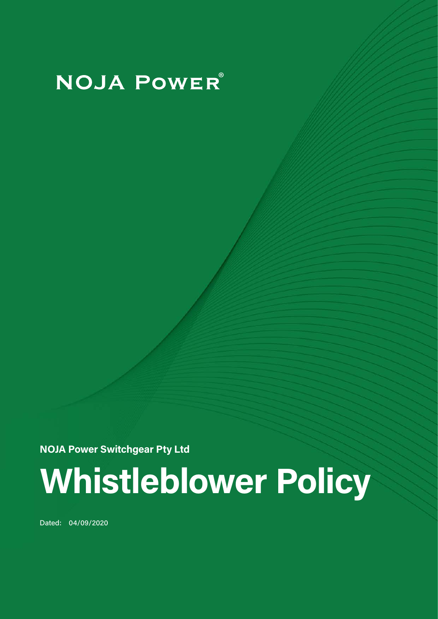# **NOJA POWER**®

**NOJA Power Switchgear Pty Ltd**

# **Whistleblower Policy**

Dated: 04/09/2020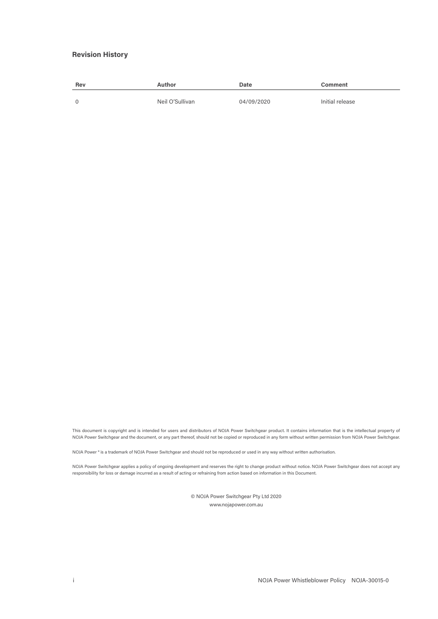#### **Revision History**

| <b>Rev</b> | Author          | Date       | Comment         |
|------------|-----------------|------------|-----------------|
|            | Neil O'Sullivan | 04/09/2020 | Initial release |

This document is copyright and is intended for users and distributors of NOJA Power Switchgear product. It contains information that is the intellectual property of NOJA Power Switchgear and the document, or any part thereof, should not be copied or reproduced in any form without written permission from NOJA Power Switchgear.

NOJA Power ® is a trademark of NOJA Power Switchgear and should not be reproduced or used in any way without written authorisation.

NOJA Power Switchgear applies a policy of ongoing development and reserves the right to change product without notice. NOJA Power Switchgear does not accept any responsibility for loss or damage incurred as a result of acting or refraining from action based on information in this Document.

> © NOJA Power Switchgear Pty Ltd 2020 www.nojapower.com.au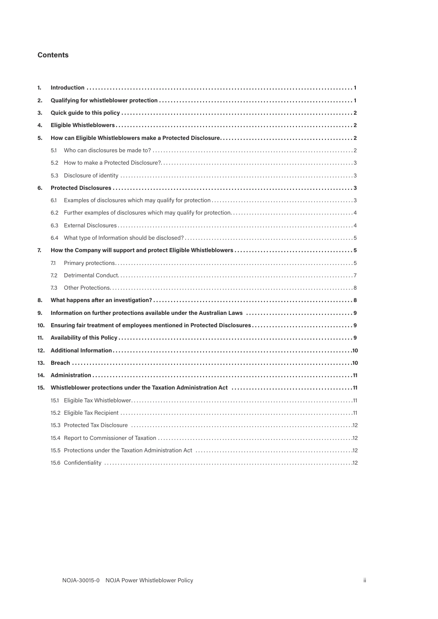### **Contents**

| 1.  |      |  |  |  |
|-----|------|--|--|--|
| 2.  |      |  |  |  |
| 3.  |      |  |  |  |
| 4.  |      |  |  |  |
| 5.  |      |  |  |  |
|     | 5.1  |  |  |  |
|     | 5.2  |  |  |  |
|     | 5.3  |  |  |  |
| 6.  |      |  |  |  |
|     | 6.1  |  |  |  |
|     | 6.2  |  |  |  |
|     | 6.3  |  |  |  |
|     | 6.4  |  |  |  |
| 7.  |      |  |  |  |
|     | 7.1  |  |  |  |
|     | 7.2  |  |  |  |
|     | 7.3  |  |  |  |
| 8.  |      |  |  |  |
| 9.  |      |  |  |  |
| 10. |      |  |  |  |
| 11. |      |  |  |  |
| 12. |      |  |  |  |
| 13. |      |  |  |  |
| 14. |      |  |  |  |
| 15. |      |  |  |  |
|     | 15.1 |  |  |  |
|     |      |  |  |  |
|     |      |  |  |  |
|     |      |  |  |  |
|     |      |  |  |  |
|     |      |  |  |  |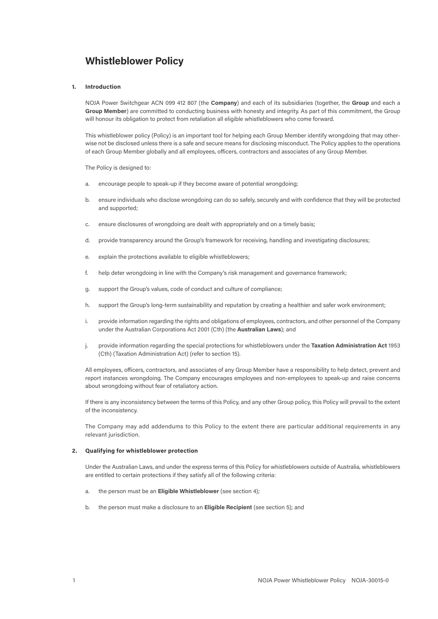## **Whistleblower Policy**

#### **1. Introduction**

NOJA Power Switchgear ACN 099 412 807 (the **Company**) and each of its subsidiaries (together, the **Group** and each a **Group Member**) are committed to conducting business with honesty and integrity. As part of this commitment, the Group will honour its obligation to protect from retaliation all eligible whistleblowers who come forward.

This whistleblower policy (Policy) is an important tool for helping each Group Member identify wrongdoing that may otherwise not be disclosed unless there is a safe and secure means for disclosing misconduct. The Policy applies to the operations of each Group Member globally and all employees, officers, contractors and associates of any Group Member.

The Policy is designed to:

- a. encourage people to speak-up if they become aware of potential wrongdoing;
- b. ensure individuals who disclose wrongdoing can do so safely, securely and with confidence that they will be protected and supported;
- c. ensure disclosures of wrongdoing are dealt with appropriately and on a timely basis;
- d. provide transparency around the Group's framework for receiving, handling and investigating disclosures;
- e. explain the protections available to eligible whistleblowers;
- f. help deter wrongdoing in line with the Company's risk management and governance framework;
- g. support the Group's values, code of conduct and culture of compliance;
- h. support the Group's long-term sustainability and reputation by creating a healthier and safer work environment;
- i. provide information regarding the rights and obligations of employees, contractors, and other personnel of the Company under the Australian Corporations Act 2001 (Cth) (the **Australian Laws**); and
- j. provide information regarding the special protections for whistleblowers under the **Taxation Administration Act** 1953 (Cth) (Taxation Administration Act) (refer to section 15).

All employees, officers, contractors, and associates of any Group Member have a responsibility to help detect, prevent and report instances wrongdoing. The Company encourages employees and non-employees to speak-up and raise concerns about wrongdoing without fear of retaliatory action.

If there is any inconsistency between the terms of this Policy, and any other Group policy, this Policy will prevail to the extent of the inconsistency.

The Company may add addendums to this Policy to the extent there are particular additional requirements in any relevant jurisdiction.

#### **2. Qualifying for whistleblower protection**

Under the Australian Laws, and under the express terms of this Policy for whistleblowers outside of Australia, whistleblowers are entitled to certain protections if they satisfy all of the following criteria:

- a. the person must be an **Eligible Whistleblower** (see section 4);
- b. the person must make a disclosure to an **Eligible Recipient** (see section 5); and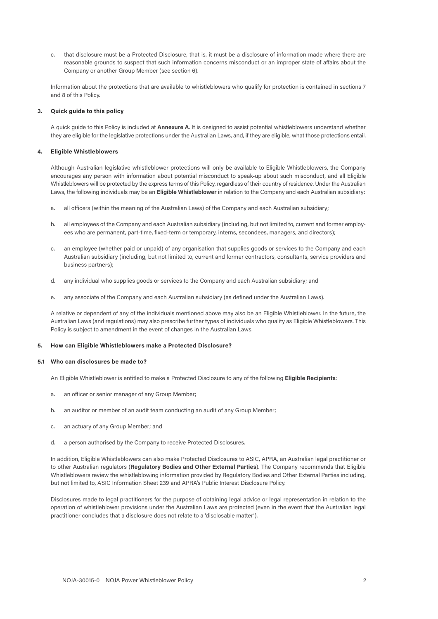c. that disclosure must be a Protected Disclosure, that is, it must be a disclosure of information made where there are reasonable grounds to suspect that such information concerns misconduct or an improper state of affairs about the Company or another Group Member (see section 6).

Information about the protections that are available to whistleblowers who qualify for protection is contained in sections 7 and 8 of this Policy.

#### **3. Quick guide to this policy**

A quick guide to this Policy is included at **Annexure A**. It is designed to assist potential whistleblowers understand whether they are eligible for the legislative protections under the Australian Laws, and, if they are eligible, what those protections entail.

#### **4. Eligible Whistleblowers**

Although Australian legislative whistleblower protections will only be available to Eligible Whistleblowers, the Company encourages any person with information about potential misconduct to speak-up about such misconduct, and all Eligible Whistleblowers will be protected by the express terms of this Policy, regardless of their country of residence. Under the Australian Laws, the following individuals may be an **Eligible Whistleblower** in relation to the Company and each Australian subsidiary:

- a. all officers (within the meaning of the Australian Laws) of the Company and each Australian subsidiary;
- b. all employees of the Company and each Australian subsidiary (including, but not limited to, current and former employees who are permanent, part-time, fixed-term or temporary, interns, secondees, managers, and directors);
- c. an employee (whether paid or unpaid) of any organisation that supplies goods or services to the Company and each Australian subsidiary (including, but not limited to, current and former contractors, consultants, service providers and business partners);
- d. any individual who supplies goods or services to the Company and each Australian subsidiary; and
- e. any associate of the Company and each Australian subsidiary (as defined under the Australian Laws).

A relative or dependent of any of the individuals mentioned above may also be an Eligible Whistleblower. In the future, the Australian Laws (and regulations) may also prescribe further types of individuals who quality as Eligible Whistleblowers. This Policy is subject to amendment in the event of changes in the Australian Laws.

#### **5. How can Eligible Whistleblowers make a Protected Disclosure?**

#### **5.1 Who can disclosures be made to?**

An Eligible Whistleblower is entitled to make a Protected Disclosure to any of the following **Eligible Recipients**:

- a. an officer or senior manager of any Group Member;
- b. an auditor or member of an audit team conducting an audit of any Group Member;
- c. an actuary of any Group Member; and
- d. a person authorised by the Company to receive Protected Disclosures.

In addition, Eligible Whistleblowers can also make Protected Disclosures to ASIC, APRA, an Australian legal practitioner or to other Australian regulators (**Regulatory Bodies and Other External Parties**). The Company recommends that Eligible Whistleblowers review the whistleblowing information provided by Regulatory Bodies and Other External Parties including, but not limited to, ASIC Information Sheet 239 and APRA's Public Interest Disclosure Policy.

Disclosures made to legal practitioners for the purpose of obtaining legal advice or legal representation in relation to the operation of whistleblower provisions under the Australian Laws are protected (even in the event that the Australian legal practitioner concludes that a disclosure does not relate to a 'disclosable matter').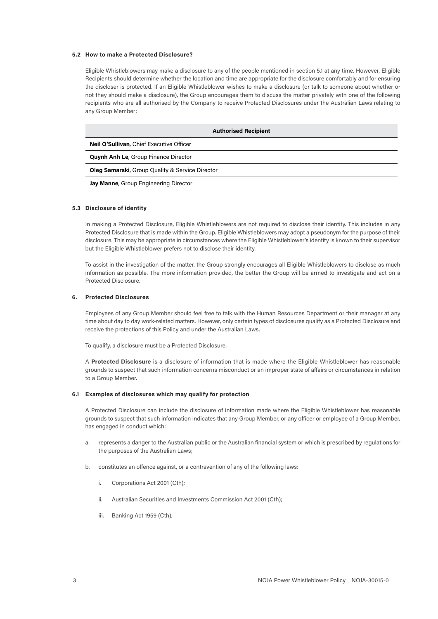#### **5.2 How to make a Protected Disclosure?**

Eligible Whistleblowers may make a disclosure to any of the people mentioned in section 5.1 at any time. However, Eligible Recipients should determine whether the location and time are appropriate for the disclosure comfortably and for ensuring the discloser is protected. If an Eligible Whistleblower wishes to make a disclosure (or talk to someone about whether or not they should make a disclosure), the Group encourages them to discuss the matter privately with one of the following recipients who are all authorised by the Company to receive Protected Disclosures under the Australian Laws relating to any Group Member:

| <b>Authorised Recipient</b>                                |  |  |
|------------------------------------------------------------|--|--|
| Neil O'Sullivan, Chief Executive Officer                   |  |  |
| <b>Quynh Anh Le, Group Finance Director</b>                |  |  |
| <b>Oleg Samarski, Group Quality &amp; Service Director</b> |  |  |

**Jay Manne**, Group Engineering Director

#### **5.3 Disclosure of identity**

In making a Protected Disclosure, Eligible Whistleblowers are not required to disclose their identity. This includes in any Protected Disclosure that is made within the Group. Eligible Whistleblowers may adopt a pseudonym for the purpose of their disclosure. This may be appropriate in circumstances where the Eligible Whistleblower's identity is known to their supervisor but the Eligible Whistleblower prefers not to disclose their identity.

To assist in the investigation of the matter, the Group strongly encourages all Eligible Whistleblowers to disclose as much information as possible. The more information provided, the better the Group will be armed to investigate and act on a Protected Disclosure.

#### **6. Protected Disclosures**

Employees of any Group Member should feel free to talk with the Human Resources Department or their manager at any time about day to day work-related matters. However, only certain types of disclosures qualify as a Protected Disclosure and receive the protections of this Policy and under the Australian Laws.

To qualify, a disclosure must be a Protected Disclosure.

A **Protected Disclosure** is a disclosure of information that is made where the Eligible Whistleblower has reasonable grounds to suspect that such information concerns misconduct or an improper state of affairs or circumstances in relation to a Group Member.

#### **6.1 Examples of disclosures which may qualify for protection**

A Protected Disclosure can include the disclosure of information made where the Eligible Whistleblower has reasonable grounds to suspect that such information indicates that any Group Member, or any officer or employee of a Group Member, has engaged in conduct which:

- a. represents a danger to the Australian public or the Australian financial system or which is prescribed by regulations for the purposes of the Australian Laws;
- b. constitutes an offence against, or a contravention of any of the following laws:
	- i. Corporations Act 2001 (Cth);
	- ii. Australian Securities and Investments Commission Act 2001 (Cth);
	- iii. Banking Act 1959 (Cth);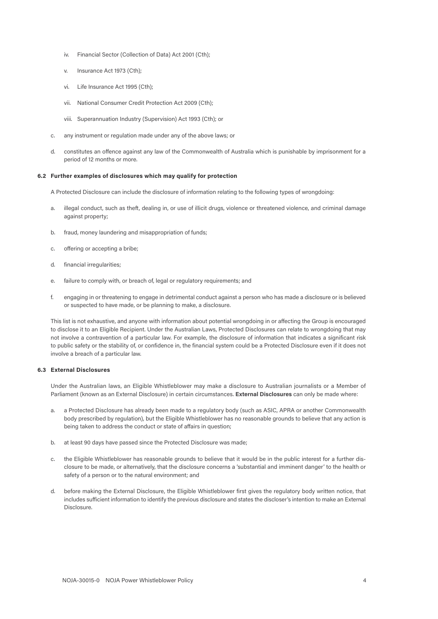- iv. Financial Sector (Collection of Data) Act 2001 (Cth);
- v. Insurance Act 1973 (Cth);
- vi. Life Insurance Act 1995 (Cth);
- vii. National Consumer Credit Protection Act 2009 (Cth);
- viii. Superannuation Industry (Supervision) Act 1993 (Cth); or
- c. any instrument or regulation made under any of the above laws; or
- d. constitutes an offence against any law of the Commonwealth of Australia which is punishable by imprisonment for a period of 12 months or more.

#### **6.2 Further examples of disclosures which may qualify for protection**

A Protected Disclosure can include the disclosure of information relating to the following types of wrongdoing:

- a. illegal conduct, such as theft, dealing in, or use of illicit drugs, violence or threatened violence, and criminal damage against property;
- b. fraud, money laundering and misappropriation of funds;
- c. offering or accepting a bribe;
- d. financial irregularities;
- e. failure to comply with, or breach of, legal or regulatory requirements; and
- f. engaging in or threatening to engage in detrimental conduct against a person who has made a disclosure or is believed or suspected to have made, or be planning to make, a disclosure.

This list is not exhaustive, and anyone with information about potential wrongdoing in or affecting the Group is encouraged to disclose it to an Eligible Recipient. Under the Australian Laws, Protected Disclosures can relate to wrongdoing that may not involve a contravention of a particular law. For example, the disclosure of information that indicates a significant risk to public safety or the stability of, or confidence in, the financial system could be a Protected Disclosure even if it does not involve a breach of a particular law.

#### **6.3 External Disclosures**

Under the Australian laws, an Eligible Whistleblower may make a disclosure to Australian journalists or a Member of Parliament (known as an External Disclosure) in certain circumstances. **External Disclosures** can only be made where:

- a. a Protected Disclosure has already been made to a regulatory body (such as ASIC, APRA or another Commonwealth body prescribed by regulation), but the Eligible Whistleblower has no reasonable grounds to believe that any action is being taken to address the conduct or state of affairs in question;
- b. at least 90 days have passed since the Protected Disclosure was made;
- c. the Eligible Whistleblower has reasonable grounds to believe that it would be in the public interest for a further disclosure to be made, or alternatively, that the disclosure concerns a 'substantial and imminent danger' to the health or safety of a person or to the natural environment; and
- d. before making the External Disclosure, the Eligible Whistleblower first gives the regulatory body written notice, that includes sufficient information to identify the previous disclosure and states the discloser's intention to make an External **Disclosure**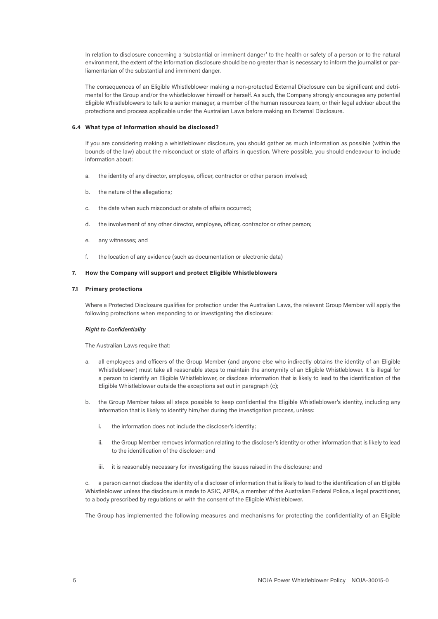In relation to disclosure concerning a 'substantial or imminent danger' to the health or safety of a person or to the natural environment, the extent of the information disclosure should be no greater than is necessary to inform the journalist or parliamentarian of the substantial and imminent danger.

The consequences of an Eligible Whistleblower making a non-protected External Disclosure can be significant and detrimental for the Group and/or the whistleblower himself or herself. As such, the Company strongly encourages any potential Eligible Whistleblowers to talk to a senior manager, a member of the human resources team, or their legal advisor about the protections and process applicable under the Australian Laws before making an External Disclosure.

#### **6.4 What type of Information should be disclosed?**

If you are considering making a whistleblower disclosure, you should gather as much information as possible (within the bounds of the law) about the misconduct or state of affairs in question. Where possible, you should endeavour to include information about:

- a. the identity of any director, employee, officer, contractor or other person involved;
- b. the nature of the allegations;
- c. the date when such misconduct or state of affairs occurred;
- d. the involvement of any other director, employee, officer, contractor or other person;
- e. any witnesses; and
- f. the location of any evidence (such as documentation or electronic data)

#### **7. How the Company will support and protect Eligible Whistleblowers**

#### **7.1 Primary protections**

Where a Protected Disclosure qualifies for protection under the Australian Laws, the relevant Group Member will apply the following protections when responding to or investigating the disclosure:

#### *Right to Confidentiality*

The Australian Laws require that:

- a. all employees and officers of the Group Member (and anyone else who indirectly obtains the identity of an Eligible Whistleblower) must take all reasonable steps to maintain the anonymity of an Eligible Whistleblower. It is illegal for a person to identify an Eligible Whistleblower, or disclose information that is likely to lead to the identification of the Eligible Whistleblower outside the exceptions set out in paragraph (c);
- b. the Group Member takes all steps possible to keep confidential the Eligible Whistleblower's identity, including any information that is likely to identify him/her during the investigation process, unless:
	- i. the information does not include the discloser's identity;
	- ii. the Group Member removes information relating to the discloser's identity or other information that is likely to lead to the identification of the discloser; and
	- iii. it is reasonably necessary for investigating the issues raised in the disclosure; and

c. a person cannot disclose the identity of a discloser of information that is likely to lead to the identification of an Eligible Whistleblower unless the disclosure is made to ASIC, APRA, a member of the Australian Federal Police, a legal practitioner, to a body prescribed by regulations or with the consent of the Eligible Whistleblower.

The Group has implemented the following measures and mechanisms for protecting the confidentiality of an Eligible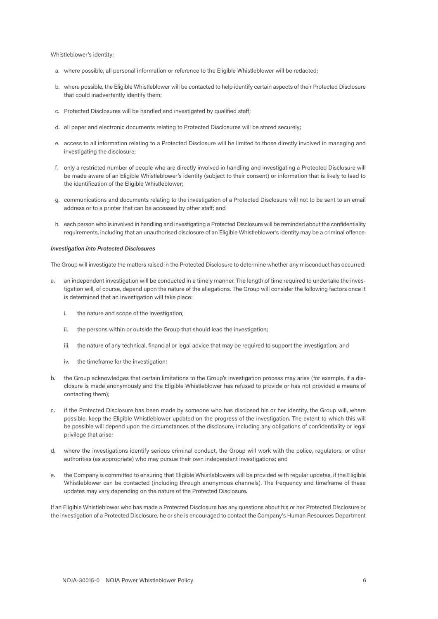Whistleblower's identity:

- a. where possible, all personal information or reference to the Eligible Whistleblower will be redacted;
- b. where possible, the Eligible Whistleblower will be contacted to help identify certain aspects of their Protected Disclosure that could inadvertently identify them;
- c. Protected Disclosures will be handled and investigated by qualified staff;
- d. all paper and electronic documents relating to Protected Disclosures will be stored securely;
- e. access to all information relating to a Protected Disclosure will be limited to those directly involved in managing and investigating the disclosure;
- f. only a restricted number of people who are directly involved in handling and investigating a Protected Disclosure will be made aware of an Eligible Whistleblower's identity (subject to their consent) or information that is likely to lead to the identification of the Eligible Whistleblower;
- g. communications and documents relating to the investigation of a Protected Disclosure will not to be sent to an email address or to a printer that can be accessed by other staff; and
- h. each person who is involved in handling and investigating a Protected Disclosure will be reminded about the confidentiality requirements, including that an unauthorised disclosure of an Eligible Whistleblower's identity may be a criminal offence.

#### *Investigation into Protected Disclosures*

The Group will investigate the matters raised in the Protected Disclosure to determine whether any misconduct has occurred:

- a. an independent investigation will be conducted in a timely manner. The length of time required to undertake the investigation will, of course, depend upon the nature of the allegations. The Group will consider the following factors once it is determined that an investigation will take place:
	- i. the nature and scope of the investigation;
	- ii. the persons within or outside the Group that should lead the investigation;
	- iii. the nature of any technical, financial or legal advice that may be required to support the investigation; and
	- iv. the timeframe for the investigation;
- b. the Group acknowledges that certain limitations to the Group's investigation process may arise (for example, if a disclosure is made anonymously and the Eligible Whistleblower has refused to provide or has not provided a means of contacting them);
- if the Protected Disclosure has been made by someone who has disclosed his or her identity, the Group will, where possible, keep the Eligible Whistleblower updated on the progress of the investigation. The extent to which this will be possible will depend upon the circumstances of the disclosure, including any obligations of confidentiality or legal privilege that arise;
- d. where the investigations identify serious criminal conduct, the Group will work with the police, regulators, or other authorities (as appropriate) who may pursue their own independent investigations; and
- e. the Company is committed to ensuring that Eligible Whistleblowers will be provided with regular updates, if the Eligible Whistleblower can be contacted (including through anonymous channels). The frequency and timeframe of these updates may vary depending on the nature of the Protected Disclosure.

If an Eligible Whistleblower who has made a Protected Disclosure has any questions about his or her Protected Disclosure or the investigation of a Protected Disclosure, he or she is encouraged to contact the Company's Human Resources Department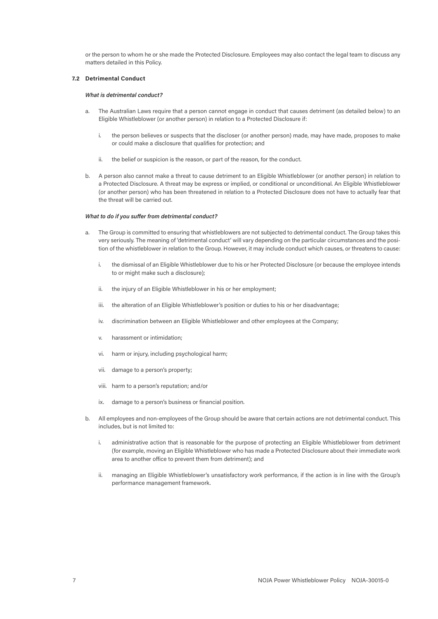or the person to whom he or she made the Protected Disclosure. Employees may also contact the legal team to discuss any matters detailed in this Policy.

#### **7.2 Detrimental Conduct**

#### *What is detrimental conduct?*

- a. The Australian Laws require that a person cannot engage in conduct that causes detriment (as detailed below) to an Eligible Whistleblower (or another person) in relation to a Protected Disclosure if:
	- i. the person believes or suspects that the discloser (or another person) made, may have made, proposes to make or could make a disclosure that qualifies for protection; and
	- ii. the belief or suspicion is the reason, or part of the reason, for the conduct.
- b. A person also cannot make a threat to cause detriment to an Eligible Whistleblower (or another person) in relation to a Protected Disclosure. A threat may be express or implied, or conditional or unconditional. An Eligible Whistleblower (or another person) who has been threatened in relation to a Protected Disclosure does not have to actually fear that the threat will be carried out.

#### *What to do if you suffer from detrimental conduct?*

- The Group is committed to ensuring that whistleblowers are not subjected to detrimental conduct. The Group takes this very seriously. The meaning of 'detrimental conduct' will vary depending on the particular circumstances and the position of the whistleblower in relation to the Group. However, it may include conduct which causes, or threatens to cause:
	- i. the dismissal of an Eligible Whistleblower due to his or her Protected Disclosure (or because the employee intends to or might make such a disclosure);
	- ii. the injury of an Eligible Whistleblower in his or her employment;
	- iii. the alteration of an Eligible Whistleblower's position or duties to his or her disadvantage;
	- iv. discrimination between an Eligible Whistleblower and other employees at the Company;
	- v. harassment or intimidation;
	- vi. harm or injury, including psychological harm;
	- vii. damage to a person's property;
	- viii. harm to a person's reputation; and/or
	- ix. damage to a person's business or financial position.
- b. All employees and non-employees of the Group should be aware that certain actions are not detrimental conduct. This includes, but is not limited to:
	- i. administrative action that is reasonable for the purpose of protecting an Eligible Whistleblower from detriment (for example, moving an Eligible Whistleblower who has made a Protected Disclosure about their immediate work area to another office to prevent them from detriment); and
	- ii. managing an Eligible Whistleblower's unsatisfactory work performance, if the action is in line with the Group's performance management framework.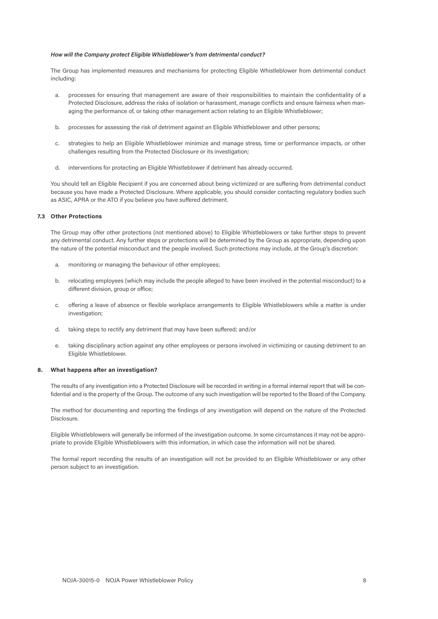#### *How will the Company protect Eligible Whistleblower's from detrimental conduct?*

The Group has implemented measures and mechanisms for protecting Eligible Whistleblower from detrimental conduct including:

- a. processes for ensuring that management are aware of their responsibilities to maintain the confidentiality of a Protected Disclosure, address the risks of isolation or harassment, manage conflicts and ensure fairness when managing the performance of, or taking other management action relating to an Eligible Whistleblower;
- b. processes for assessing the risk of detriment against an Eligible Whistleblower and other persons;
- c. strategies to help an Eligible Whistleblower minimize and manage stress, time or performance impacts, or other challenges resulting from the Protected Disclosure or its investigation;
- d. interventions for protecting an Eligible Whistleblower if detriment has already occurred.

You should tell an Eligible Recipient if you are concerned about being victimized or are suffering from detrimental conduct because you have made a Protected Disclosure. Where applicable, you should consider contacting regulatory bodies such as ASIC, APRA or the ATO if you believe you have suffered detriment.

#### **7.3 Other Protections**

The Group may offer other protections (not mentioned above) to Eligible Whistleblowers or take further steps to prevent any detrimental conduct. Any further steps or protections will be determined by the Group as appropriate, depending upon the nature of the potential misconduct and the people involved. Such protections may include, at the Group's discretion:

- a. monitoring or managing the behaviour of other employees;
- b. relocating employees (which may include the people alleged to have been involved in the potential misconduct) to a different division, group or office;
- c. offering a leave of absence or flexible workplace arrangements to Eligible Whistleblowers while a matter is under investigation;
- d. taking steps to rectify any detriment that may have been suffered; and/or
- e. taking disciplinary action against any other employees or persons involved in victimizing or causing detriment to an Eligible Whistleblower.

#### **8. What happens after an investigation?**

The results of any investigation into a Protected Disclosure will be recorded in writing in a formal internal report that will be confidential and is the property of the Group. The outcome of any such investigation will be reported to the Board of the Company.

The method for documenting and reporting the findings of any investigation will depend on the nature of the Protected Disclosure.

Eligible Whistleblowers will generally be informed of the investigation outcome. In some circumstances it may not be appropriate to provide Eligible Whistleblowers with this information, in which case the information will not be shared.

The formal report recording the results of an investigation will not be provided to an Eligible Whistleblower or any other person subject to an investigation.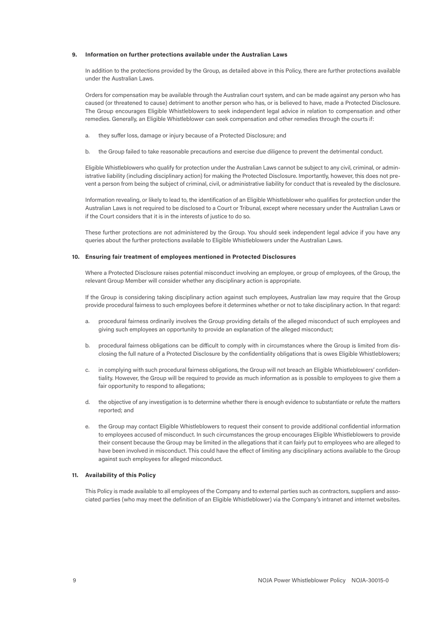#### **9. Information on further protections available under the Australian Laws**

In addition to the protections provided by the Group, as detailed above in this Policy, there are further protections available under the Australian Laws.

Orders for compensation may be available through the Australian court system, and can be made against any person who has caused (or threatened to cause) detriment to another person who has, or is believed to have, made a Protected Disclosure. The Group encourages Eligible Whistleblowers to seek independent legal advice in relation to compensation and other remedies. Generally, an Eligible Whistleblower can seek compensation and other remedies through the courts if:

- a. they suffer loss, damage or injury because of a Protected Disclosure; and
- b. the Group failed to take reasonable precautions and exercise due diligence to prevent the detrimental conduct.

Eligible Whistleblowers who qualify for protection under the Australian Laws cannot be subject to any civil, criminal, or administrative liability (including disciplinary action) for making the Protected Disclosure. Importantly, however, this does not prevent a person from being the subject of criminal, civil, or administrative liability for conduct that is revealed by the disclosure.

Information revealing, or likely to lead to, the identification of an Eligible Whistleblower who qualifies for protection under the Australian Laws is not required to be disclosed to a Court or Tribunal, except where necessary under the Australian Laws or if the Court considers that it is in the interests of justice to do so.

These further protections are not administered by the Group. You should seek independent legal advice if you have any queries about the further protections available to Eligible Whistleblowers under the Australian Laws.

#### **10. Ensuring fair treatment of employees mentioned in Protected Disclosures**

Where a Protected Disclosure raises potential misconduct involving an employee, or group of employees, of the Group, the relevant Group Member will consider whether any disciplinary action is appropriate.

If the Group is considering taking disciplinary action against such employees, Australian law may require that the Group provide procedural fairness to such employees before it determines whether or not to take disciplinary action. In that regard:

- a. procedural fairness ordinarily involves the Group providing details of the alleged misconduct of such employees and giving such employees an opportunity to provide an explanation of the alleged misconduct;
- b. procedural fairness obligations can be difficult to comply with in circumstances where the Group is limited from disclosing the full nature of a Protected Disclosure by the confidentiality obligations that is owes Eligible Whistleblowers;
- c. in complying with such procedural fairness obligations, the Group will not breach an Eligible Whistleblowers' confidentiality. However, the Group will be required to provide as much information as is possible to employees to give them a fair opportunity to respond to allegations;
- d. the objective of any investigation is to determine whether there is enough evidence to substantiate or refute the matters reported; and
- the Group may contact Eligible Whistleblowers to request their consent to provide additional confidential information to employees accused of misconduct. In such circumstances the group encourages Eligible Whistleblowers to provide their consent because the Group may be limited in the allegations that it can fairly put to employees who are alleged to have been involved in misconduct. This could have the effect of limiting any disciplinary actions available to the Group against such employees for alleged misconduct.

#### **11. Availability of this Policy**

This Policy is made available to all employees of the Company and to external parties such as contractors, suppliers and associated parties (who may meet the definition of an Eligible Whistleblower) via the Company's intranet and internet websites.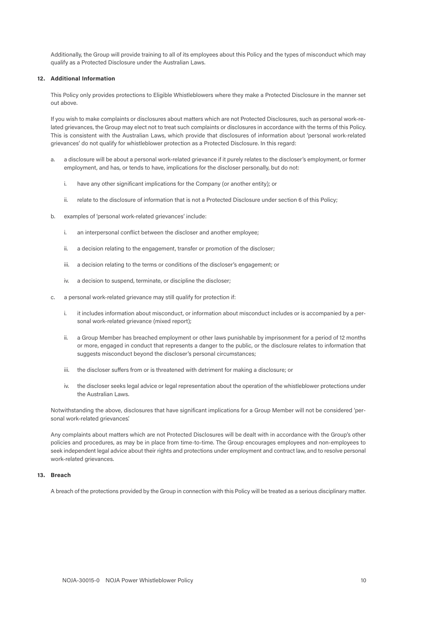Additionally, the Group will provide training to all of its employees about this Policy and the types of misconduct which may qualify as a Protected Disclosure under the Australian Laws.

#### **12. Additional Information**

This Policy only provides protections to Eligible Whistleblowers where they make a Protected Disclosure in the manner set out above.

If you wish to make complaints or disclosures about matters which are not Protected Disclosures, such as personal work-related grievances, the Group may elect not to treat such complaints or disclosures in accordance with the terms of this Policy. This is consistent with the Australian Laws, which provide that disclosures of information about 'personal work-related grievances' do not qualify for whistleblower protection as a Protected Disclosure. In this regard:

- a. a disclosure will be about a personal work-related grievance if it purely relates to the discloser's employment, or former employment, and has, or tends to have, implications for the discloser personally, but do not:
	- i. have any other significant implications for the Company (or another entity); or
	- ii. relate to the disclosure of information that is not a Protected Disclosure under section 6 of this Policy;
- b. examples of 'personal work-related grievances' include:
	- i. an interpersonal conflict between the discloser and another employee;
	- ii. a decision relating to the engagement, transfer or promotion of the discloser;
	- iii. a decision relating to the terms or conditions of the discloser's engagement; or
	- iv. a decision to suspend, terminate, or discipline the discloser;
- c. a personal work-related grievance may still qualify for protection if:
	- i. it includes information about misconduct, or information about misconduct includes or is accompanied by a personal work-related grievance (mixed report);
	- ii. a Group Member has breached employment or other laws punishable by imprisonment for a period of 12 months or more, engaged in conduct that represents a danger to the public, or the disclosure relates to information that suggests misconduct beyond the discloser's personal circumstances;
	- iii. the discloser suffers from or is threatened with detriment for making a disclosure; or
	- iv. the discloser seeks legal advice or legal representation about the operation of the whistleblower protections under the Australian Laws.

Notwithstanding the above, disclosures that have significant implications for a Group Member will not be considered 'personal work-related grievances'.

Any complaints about matters which are not Protected Disclosures will be dealt with in accordance with the Group's other policies and procedures, as may be in place from time-to-time. The Group encourages employees and non-employees to seek independent legal advice about their rights and protections under employment and contract law, and to resolve personal work-related grievances.

#### **13. Breach**

A breach of the protections provided by the Group in connection with this Policy will be treated as a serious disciplinary matter.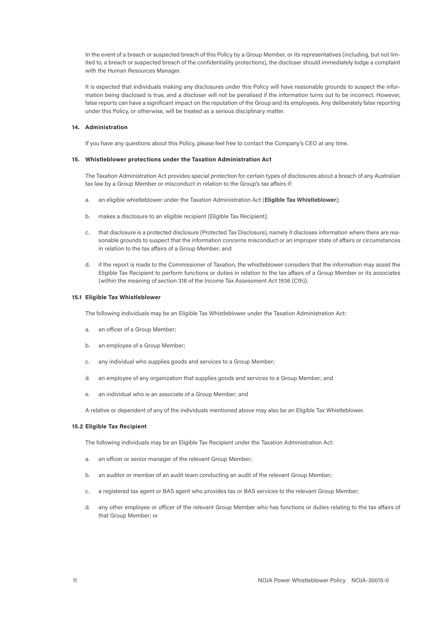In the event of a breach or suspected breach of this Policy by a Group Member, or its representatives (including, but not limited to, a breach or suspected breach of the confidentiality protections), the discloser should immediately lodge a complaint with the Human Resources Manager.

It is expected that individuals making any disclosures under this Policy will have reasonable grounds to suspect the information being disclosed is true, and a discloser will not be penalised if the information turns out to be incorrect. However, false reports can have a significant impact on the reputation of the Group and its employees. Any deliberately false reporting under this Policy, or otherwise, will be treated as a serious disciplinary matter.

#### **14. Administration**

If you have any questions about this Policy, please feel free to contact the Company's CEO at any time.

#### **15. Whistleblower protections under the Taxation Administration Act**

The Taxation Administration Act provides special protection for certain types of disclosures about a breach of any Australian tax law by a Group Member or misconduct in relation to the Group's tax affairs if:

- a. an eligible whistleblower under the Taxation Administration Act (**Eligible Tax Whistleblower**);
- b. makes a disclosure to an eligible recipient (Eligible Tax Recipient);
- c. that disclosure is a protected disclosure (Protected Tax Disclosure), namely it discloses information where there are reasonable grounds to suspect that the information concerns misconduct or an improper state of affairs or circumstances in relation to the tax affairs of a Group Member; and
- d. if the report is made to the Commissioner of Taxation, the whistleblower considers that the information may assist the Eligible Tax Recipient to perform functions or duties in relation to the tax affairs of a Group Member or its associates (within the meaning of section 318 of the Income Tax Assessment Act 1936 (Cth)).

#### **15.1 Eligible Tax Whistleblower**

The following individuals may be an Eligible Tax Whistleblower under the Taxation Administration Act:

- a. an officer of a Group Member;
- b. an employee of a Group Member;
- c. any individual who supplies goods and services to a Group Member;
- d. an employee of any organization that supplies goods and services to a Group Member; and
- e. an individual who is an associate of a Group Member; and

A relative or dependent of any of the individuals mentioned above may also be an Eligible Tax Whistleblower.

#### **15.2 Eligible Tax Recipient**

The following individuals may be an Eligible Tax Recipient under the Taxation Administration Act:

- a. an officer or senior manager of the relevant Group Member;
- b. an auditor or member of an audit team conducting an audit of the relevant Group Member;
- c. a registered tax agent or BAS agent who provides tax or BAS services to the relevant Group Member;
- d. any other employee or officer of the relevant Group Member who has functions or duties relating to the tax affairs of that Group Member; or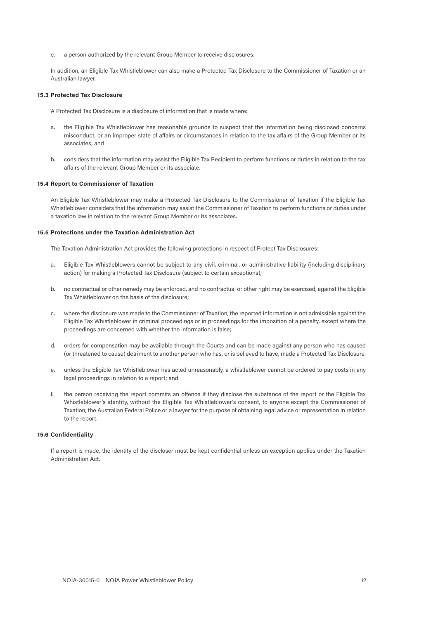e. a person authorized by the relevant Group Member to receive disclosures.

In addition, an Eligible Tax Whistleblower can also make a Protected Tax Disclosure to the Commissioner of Taxation or an Australian lawyer.

#### **15.3 Protected Tax Disclosure**

A Protected Tax Disclosure is a disclosure of information that is made where:

- a. the Eligible Tax Whistleblower has reasonable grounds to suspect that the information being disclosed concerns misconduct, or an improper state of affairs or circumstances in relation to the tax affairs of the Group Member or its associates; and
- b. considers that the information may assist the Eligible Tax Recipient to perform functions or duties in relation to the tax affairs of the relevant Group Member or its associate.

#### **15.4 Report to Commissioner of Taxation**

An Eligible Tax Whistleblower may make a Protected Tax Disclosure to the Commissioner of Taxation if the Eligible Tax Whistleblower considers that the information may assist the Commissioner of Taxation to perform functions or duties under a taxation law in relation to the relevant Group Member or its associates.

#### **15.5 Protections under the Taxation Administration Act**

The Taxation Administration Act provides the following protections in respect of Protect Tax Disclosures:

- a. Eligible Tax Whistleblowers cannot be subject to any civil, criminal, or administrative liability (including disciplinary action) for making a Protected Tax Disclosure (subject to certain exceptions);
- b. no contractual or other remedy may be enforced, and no contractual or other right may be exercised, against the Eligible Tax Whistleblower on the basis of the disclosure;
- c. where the disclosure was made to the Commissioner of Taxation, the reported information is not admissible against the Eligible Tax Whistleblower in criminal proceedings or in proceedings for the imposition of a penalty, except where the proceedings are concerned with whether the information is false;
- d. orders for compensation may be available through the Courts and can be made against any person who has caused (or threatened to cause) detriment to another person who has, or is believed to have, made a Protected Tax Disclosure.
- e. unless the Eligible Tax Whistleblower has acted unreasonably, a whistleblower cannot be ordered to pay costs in any legal proceedings in relation to a report; and
- f. the person receiving the report commits an offence if they disclose the substance of the report or the Eligible Tax Whistleblower's identity, without the Eligible Tax Whistleblower's consent, to anyone except the Commissioner of Taxation, the Australian Federal Police or a lawyer for the purpose of obtaining legal advice or representation in relation to the report.

#### **15.6 Confidentiality**

If a report is made, the identity of the discloser must be kept confidential unless an exception applies under the Taxation Administration Act.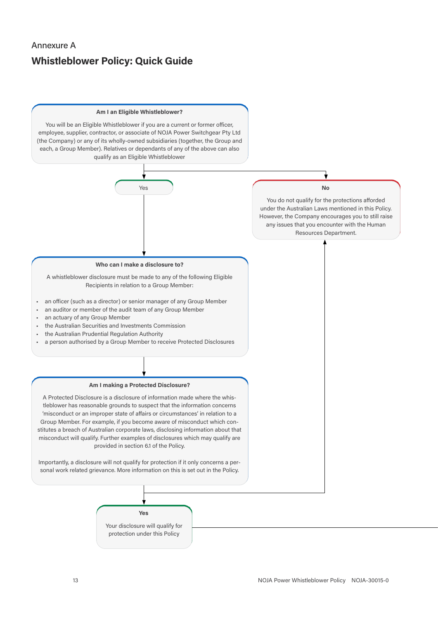# Annexure A **Whistleblower Policy: Quick Guide**

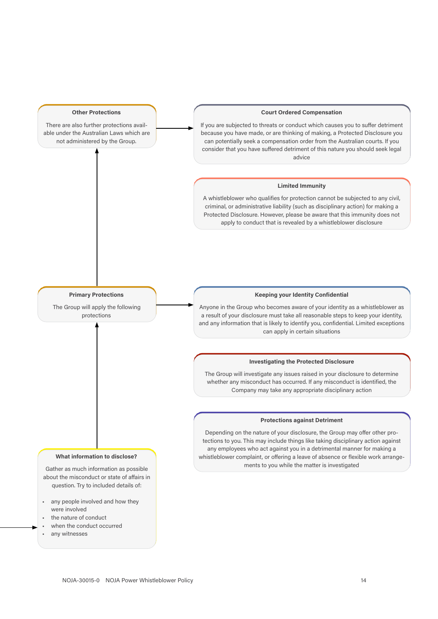